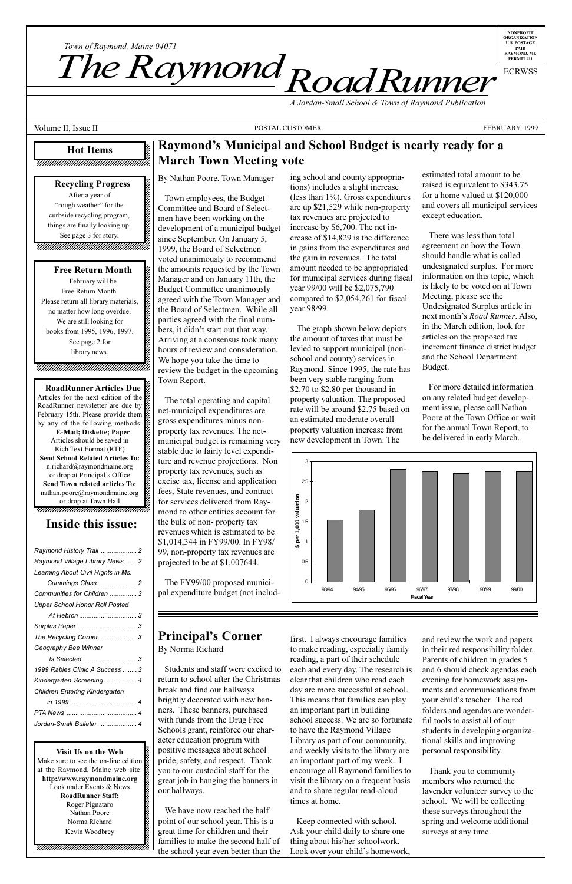$\blacksquare$  110 matter how long overdue. We are still looking for  $\mathscr{C}$ 12345678901234567890123456789012123456789012345 books from 1995, 1996, 1997. 12345678901234567890123456789012123456789012345 See page 2 for 12345678901234567890123456789012123456789012345  $1$ ibrary news.

12345678901234567890123456789012123456789012345 12345678901234567890123456789012123456789012345 1 5 12345678901234567890123456789012123456789012345 12345678901234567890123456789012123456789012345

12345678901234567890123456789012123456789012345 12345678901234567890123456789012123456789012345

12345678901234567890123456789012123456789012345

12345678901234567890123456789012123456789012345 **RoadRunner Articles Due** 12345678901234567890123456789012123456789012345 Articles for the next edition of the  $\mathbb Z$ 12345678901234567890123456789012123456789012345 RoadRunner newsletter are due by 12345678901234567890123456789012123456789012345 February 15th. Please provide them by any of the following methods: **E-Mail; Diskette; Paper** 12345678901234567890123456789012123456789012345 Articles should be saved in 12345678901234567890123456789012123456789012345 Rich Text Format (RTF) 12345678901234567890123456789012123456789012345 **Send School Related Articles To:** n.richard@raymondmaine.org 12345678901234567890123456789012123456789012345 or drop at Principal's Office  $\mathbb{Z}$ **Send Town related articles To:** 12345678901234567890123456789012123456789012345 nathan.poore@raymondmaine.org or drop at Town Hall 12345678901234567890123456789012123456789012345 12345678901234567890123456789012123456789012345 12345678901234567890123456789012123456789012345

## **Inside this issue:**

| Raymond History Trail 2               |
|---------------------------------------|
| Raymond Village Library News 2        |
| Learning About Civil Rights in Ms.    |
|                                       |
| Communities for Children  3           |
| <b>Upper School Honor Roll Posted</b> |
| At Hebron  3                          |
|                                       |
| The Recycling Corner 3                |
| Geography Bee Winner                  |
| <i>Is Selected </i> 3                 |
| 1999 Rabies Clinic A Success  3       |
| Kindergarten Screening  4             |
| Children Entering Kindergarten        |
|                                       |
|                                       |
| Jordan-Small Bulletin  4              |

#### 12345678901234567890123456789012345678901234567890123456789012345678901234567890123456789012345678901234567890 12345678901234567890123456789012123456789012345 **Visit Us on the Web**

12345678901234567890123456789012123456789012345 Make sure to see the on-line edition  $\mathscr{G}$ at the Raymond, Maine web site:  $\frac{2}{3}$  $1235678901234567890123456789012345678901234567890123456789012345678901234567890123456789012345678901234567890123456789012345678901234567890123456789012345678901234567890123456789012345678901234567890123456789012345678901$ http://www.raymondmaine.org Look under Events  $&$  News  $1235678901234567890123456789012345678901234567890123456789012345678901234567890123456789012345678901234567890123456789012345678901234567890123456789012345678901234567890123456789012345678901234567890123456789012345678901$ **RoadRunner Staff:** 12345678901234567890123456789012123456789012345 Roger Pignataro  $\%$ 12345678901234567890123456789012123456789012345 Nathan Poore 22 12345678901234567890123456789012123456789012345 Norma Richard 22 12345678901234567890123456789012123456789012345 12345678901234567890123456789012123456789012345 Kevin Woodbrey 22

 $1$  5  $-$  5  $-$  5  $-$  5  $-$  5  $-$  5  $-$  5  $-$  5  $-$  5  $-$  5  $-$  5  $-$  5  $-$  5  $-$  5  $-$  5  $-$  5  $-$  5  $-$  5  $-$  5  $-$  5  $-$  5  $-$  5  $-$  5  $-$  5  $-$  5  $-$  5  $-$  5  $-$  5  $-$  5  $-$  5  $-$  5  $-$  5  $-$  5  $-$  5  $-$  5  $-$  5  $-$  5  $1235678901234567890123456789012345678901234567890123456789012345678901234567890123456789012345678901234567890123456789012345678901234567890123456789012345678901234567890123456789012345678901234567890123456789012345678901$  $1235678901234567890123456789012345678901234567890123456789012345678901234567890123456789012345678901234567890123456789012345678901234567890123456789012345678901234567890123456789012345678901234567890123456789012345678901$ 12345678901234567890123456789012123456789012345 12345678901234567890123456789012123456789012345 12345678901234567890123456789012123456789012345

 $t_{\rm max}$  is selected as  $\sim$   $t_{\rm max}$  and  $\sim$ parties agreed with the final numbers, it didn't start out that way. Arriving at a consensus took many hours of review and consideration. We hope you take the time to review the budget in the upcoming Town Report.

The total operating and capital net-municipal expenditures are gross expenditures minus nonproperty tax revenues. The netmunicipal budget is remaining very stable due to fairly level expenditure and revenue projections. Non property tax revenues, such as excise tax, license and application fees, State revenues, and contract for services delivered from Raymond to other entities account for the bulk of non- property tax revenues which is estimated to be \$1,014,344 in FY99/00. In FY98/ 99, non-property tax revenues are projected to be at \$1,007644.

The FY99/00 proposed municipal expenditure budget (not includ-

#### **Principal's Corner** By Norma Richard

Students and staff were excited to return to school after the Christmas break and find our hallways brightly decorated with new banners. These banners, purchased with funds from the Drug Free Schools grant, reinforce our character education program with positive messages about school pride, safety, and respect. Thank you to our custodial staff for the great job in hanging the banners in our hallways.

We have now reached the half point of our school year. This is a great time for children and their families to make the second half of the school year even better than the year 98/99.

The graph shown below depicts the amount of taxes that must be levied to support municipal (nonschool and county) services in Raymond. Since 1995, the rate has been very stable ranging from \$2.70 to \$2.80 per thousand in property valuation. The proposed rate will be around \$2.75 based on an estimated moderate overall property valuation increase from new development in Town. The



first. I always encourage families to make reading, especially family reading, a part of their schedule each and every day. The research is clear that children who read each day are more successful at school. This means that families can play an important part in building school success. We are so fortunate to have the Raymond Village Library as part of our community, and weekly visits to the library are an important part of my week. I encourage all Raymond families to visit the library on a frequent basis and to share regular read-aloud times at home.

Keep connected with school. Ask your child daily to share one thing about his/her schoolwork. Look over your child's homework, and re in the Paren and 6 eveni ments your o folder ful to stude: tional perso

Tha meml laven schoo these spring surve

in the article increm and th Budg

next *r* 

For on an ment Poore for th be del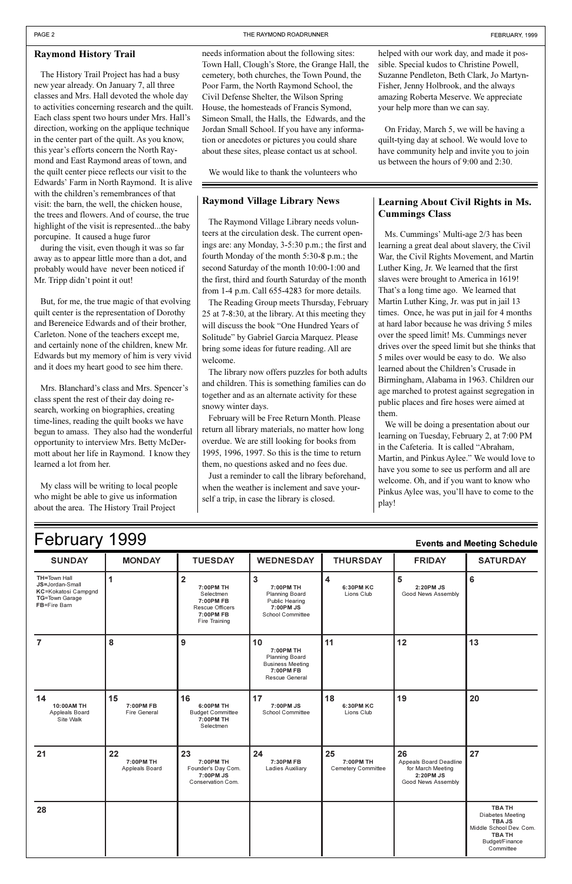# February 1999 **Events and Meeting Schedule**

| <b>SUNDAY</b>                                                                                   | <b>MONDAY</b>                     | <b>TUESDAY</b>                                                                                           | <b>WEDNESDAY</b>                                                                                                    | <b>THURSDAY</b>                       | <b>FRIDAY</b>                                                                        | <b>SATURDAY</b>                                                                                                                    |
|-------------------------------------------------------------------------------------------------|-----------------------------------|----------------------------------------------------------------------------------------------------------|---------------------------------------------------------------------------------------------------------------------|---------------------------------------|--------------------------------------------------------------------------------------|------------------------------------------------------------------------------------------------------------------------------------|
| <b>TH=Town Hall</b><br>JS=Jordan-Small<br>KC=Kokatosi Campgnd<br>TG=Town Garage<br>FB=Fire Barn | 1                                 | $\overline{2}$<br>7:00PM TH<br>Selectmen<br>7:00 PM FB<br>Rescue Officers<br>7:00 PM FB<br>Fire Training | $\mathbf{3}$<br>7:00PM TH<br><b>Planning Board</b><br><b>Public Hearing</b><br>7:00PM JS<br><b>School Committee</b> | 4<br>6:30PM KC<br>Lions Club          | 5<br>2:20PM JS<br>Good News Assembly                                                 | 6                                                                                                                                  |
| $\overline{7}$                                                                                  | 8                                 | 9                                                                                                        | 10<br>7:00PM TH<br><b>Planning Board</b><br><b>Business Meeting</b><br>7:00PM FB<br>Rescue General                  | 11                                    | 12                                                                                   | 13                                                                                                                                 |
| 14<br>10:00AM TH<br>Appleals Board<br>Site Walk                                                 | 15<br>7:00PM FB<br>Fire General   | 16<br>6:00PM TH<br><b>Budget Committee</b><br>7:00PM TH<br>Selectmen                                     | 17<br>7:00PM JS<br>School Committee                                                                                 | 18<br>6:30PM KC<br>Lions Club         | 19                                                                                   | 20                                                                                                                                 |
| 21                                                                                              | 22<br>7:00PM TH<br>Appleals Board | 23<br>7:00PM TH<br>Founder's Day Com.<br>7:00 PM JS<br>Conservation Com.                                 | 24<br>7:30PM FB<br><b>Ladies Auxiliary</b>                                                                          | 25<br>7:00PM TH<br>Cemetery Committee | 26<br>Appeals Board Deadline<br>for March Meeting<br>2:20PM JS<br>Good News Assembly | 27                                                                                                                                 |
| 28                                                                                              |                                   |                                                                                                          |                                                                                                                     |                                       |                                                                                      | <b>TBATH</b><br><b>Diabetes Meeting</b><br><b>TBA JS</b><br>Middle School Dev. Com.<br><b>TBATH</b><br>Budget/Finance<br>Committee |

during the visit, even though it was so far away as to appear little more than a dot, and probably would have never been noticed if Mr. Tripp didn't point it out!

#### **Raymond History Trail**

Mrs. Blanchard's class and Mrs. Spencer's class spent the rest of their day doing research, working on biographies, creating time-lines, reading the quilt books we have begun to amass. They also had the wonderful opportunity to interview Mrs. Betty McDermott about her life in Raymond. I know they learned a lot from her.

The History Trail Project has had a busy new year already. On January 7, all three classes and Mrs. Hall devoted the whole day to activities concerning research and the quilt. Each class spent two hours under Mrs. Hall's direction, working on the applique technique in the center part of the quilt. As you know, this year's efforts concern the North Raymond and East Raymond areas of town, and the quilt center piece reflects our visit to the Edwards' Farm in North Raymond. It is alive with the children's remembrances of that visit: the barn, the well, the chicken house, the trees and flowers. And of course, the true highlight of the visit is represented...the baby porcupine. It caused a huge furor

Ms. Cummings' Multi-age 2/3 has been learning a great deal about slavery, the Civil War, the Civil Rights Movement, and Martin Luther King, Jr. We learned that the first slaves were brought to America in 1619! That's a long time ago. We learned that Martin Luther King, Jr. was put in jail 13 times. Once, he was put in jail for 4 months at hard labor because he was driving 5 miles over the speed limit! Ms. Cummings never drives over the speed limit but she thinks that 5 miles over would be easy to do. We also learned about the Children's Crusade in Birmingham, Alabama in 1963. Children our age marched to protest against segregation in public places and fire hoses were aimed at them.

But, for me, the true magic of that evolving quilt center is the representation of Dorothy and Bereneice Edwards and of their brother, Carleton. None of the teachers except me, and certainly none of the children, knew Mr. Edwards but my memory of him is very vivid and it does my heart good to see him there.

My class will be writing to local people who might be able to give us information about the area. The History Trail Project

#### **Learning About Civil Rights in Ms. Cummings Class**

We will be doing a presentation about our learning on Tuesday, February 2, at 7:00 PM in the Cafeteria. It is called "Abraham, Martin, and Pinkus Aylee." We would love to have you some to see us perform and all are welcome. Oh, and if you want to know who Pinkus Aylee was, you'll have to come to the play!

#### **Raymond Village Library News**

The Raymond Village Library needs volunteers at the circulation desk. The current openings are: any Monday, 3-5:30 p.m.; the first and fourth Monday of the month 5:30-8 p.m.; the second Saturday of the month 10:00-1:00 and the first, third and fourth Saturday of the month from 1-4 p.m. Call 655-4283 for more details.

The Reading Group meets Thursday, February 25 at 7-8:30, at the library. At this meeting they will discuss the book "One Hundred Years of Solitude" by Gabriel Garcia Marquez. Please bring some ideas for future reading. All are welcome.

The library now offers puzzles for both adults and children. This is something families can do together and as an alternate activity for these snowy winter days.

February will be Free Return Month. Please return all library materials, no matter how long overdue. We are still looking for books from 1995, 1996, 1997. So this is the time to return them, no questions asked and no fees due.

Just a reminder to call the library beforehand, when the weather is inclement and save yourself a trip, in case the library is closed.

needs information about the following sites: Town Hall, Clough's Store, the Grange Hall, the cemetery, both churches, the Town Pound, the Poor Farm, the North Raymond School, the Civil Defense Shelter, the Wilson Spring House, the homesteads of Francis Symond, Simeon Small, the Halls, the Edwards, and the Jordan Small School. If you have any information or anecdotes or pictures you could share about these sites, please contact us at school.

We would like to thank the volunteers who

helped with our work day, and made it possible. Special kudos to Christine Powell, Suzanne Pendleton, Beth Clark, Jo Martyn-Fisher, Jenny Holbrook, and the always amazing Roberta Meserve. We appreciate your help more than we can say.

On Friday, March 5, we will be having a quilt-tying day at school. We would love to have community help and invite you to join us between the hours of 9:00 and 2:30.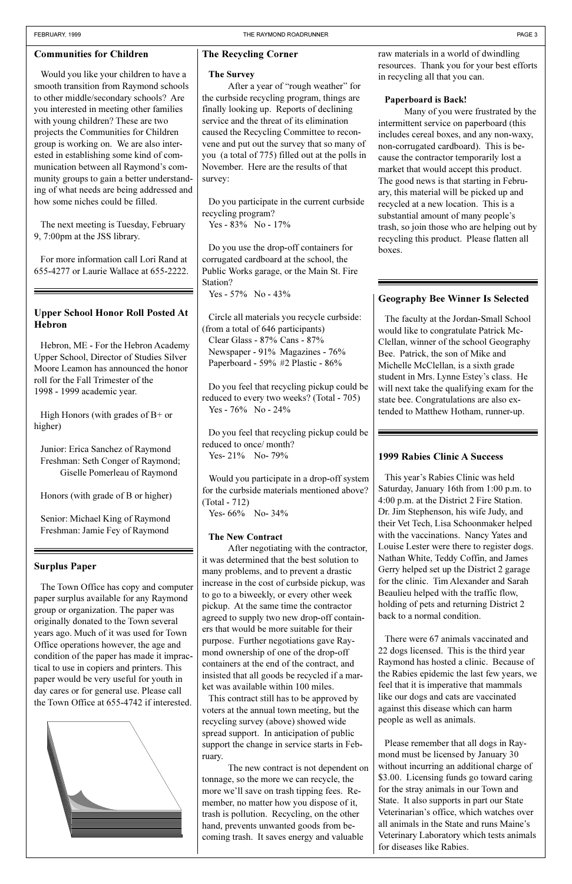#### **1999 Rabies Clinic A Success**

This year's Rabies Clinic was held Saturday, January 16th from 1:00 p.m. to 4:00 p.m. at the District 2 Fire Station. Dr. Jim Stephenson, his wife Judy, and their Vet Tech, Lisa Schoonmaker helped with the vaccinations. Nancy Yates and Louise Lester were there to register dogs. Nathan White, Teddy Coffin, and James Gerry helped set up the District 2 garage for the clinic. Tim Alexander and Sarah Beaulieu helped with the traffic flow, holding of pets and returning District 2 back to a normal condition.

There were 67 animals vaccinated and 22 dogs licensed. This is the third year Raymond has hosted a clinic. Because of the Rabies epidemic the last few years, we feel that it is imperative that mammals like our dogs and cats are vaccinated against this disease which can harm people as well as animals.



After a year of "rough weather" for the curbside recycling program, things are finally looking up. Reports of declining service and the threat of its elimination caused the Recycling Committee to reconvene and put out the survey that so many of you (a total of 775) filled out at the polls in November. Here are the results of that survey:

Do you participate in the current curbside recycling program? Yes - 83% No - 17%

Do you feel that recycling pickup could be reduced to every two weeks? (Total - 705) Yes -  $76\%$  No -  $24\%$ 

> Please remember that all dogs in Raymond must be licensed by January 30 without incurring an additional charge of \$3.00. Licensing funds go toward caring for the stray animals in our Town and State. It also supports in part our State Veterinarian's office, which watches over all animals in the State and runs Maine's Veterinary Laboratory which tests animals for diseases like Rabies.

Do you feel that recycling pickup could be reduced to once/ month? Yes- 21% No- 79%

#### **The Recycling Corner**

#### **The Survey**

Do you use the drop-off containers for corrugated cardboard at the school, the Public Works garage, or the Main St. Fire Station?

Yes - 57% No - 43%

Circle all materials you recycle curbside: (from a total of 646 participants) Clear Glass - 87% Cans - 87% Newspaper - 91% Magazines - 76% Paperboard - 59% #2 Plastic - 86%

Would you participate in a drop-off system for the curbside materials mentioned above? (Total - 712)

Yes- 66% No- 34%

High Honors (with grades of  $B<sup>+</sup>$  or higher)

#### **The New Contract**

After negotiating with the contractor, it was determined that the best solution to many problems, and to prevent a drastic increase in the cost of curbside pickup, was to go to a biweekly, or every other week pickup. At the same time the contractor agreed to supply two new drop-off containers that would be more suitable for their purpose. Further negotiations gave Raymond ownership of one of the drop-off containers at the end of the contract, and insisted that all goods be recycled if a market was available within 100 miles. This contract still has to be approved by voters at the annual town meeting, but the recycling survey (above) showed wide spread support. In anticipation of public support the change in service starts in February. The new contract is not dependent on tonnage, so the more we can recycle, the more we'll save on trash tipping fees. Remember, no matter how you dispose of it, trash is pollution. Recycling, on the other hand, prevents unwanted goods from becoming trash. It saves energy and valuable

#### **Communities for Children**

Would you like your children to have a smooth transition from Raymond schools to other middle/secondary schools? Are you interested in meeting other families with young children? These are two projects the Communities for Children group is working on. We are also interested in establishing some kind of communication between all Raymond's community groups to gain a better understanding of what needs are being addressed and how some niches could be filled.

The next meeting is Tuesday, February 9, 7:00pm at the JSS library.

For more information call Lori Rand at 655-4277 or Laurie Wallace at 655-2222.

#### **Geography Bee Winner Is Selected**

The faculty at the Jordan-Small School would like to congratulate Patrick Mc-Clellan, winner of the school Geography Bee. Patrick, the son of Mike and Michelle McClellan, is a sixth grade student in Mrs. Lynne Estey's class. He will next take the qualifying exam for the state bee. Congratulations are also extended to Matthew Hotham, runner-up.

#### **Upper School Honor Roll Posted At Hebron**

Hebron, ME - For the Hebron Academy Upper School, Director of Studies Silver Moore Leamon has announced the honor roll for the Fall Trimester of the 1998 - 1999 academic year.

Junior: Erica Sanchez of Raymond Freshman: Seth Conger of Raymond; Giselle Pomerleau of Raymond

Honors (with grade of B or higher)

Senior: Michael King of Raymond Freshman: Jamie Fey of Raymond

raw materials in a world of dwindling resources. Thank you for your best efforts in recycling all that you can.

#### **Paperboard is Back!**

Many of you were frustrated by the intermittent service on paperboard (this includes cereal boxes, and any non-waxy, non-corrugated cardboard). This is because the contractor temporarily lost a market that would accept this product. The good news is that starting in February, this material will be picked up and recycled at a new location. This is a substantial amount of many people's trash, so join those who are helping out by recycling this product. Please flatten all boxes.

#### **Surplus Paper**

The Town Office has copy and computer paper surplus available for any Raymond group or organization. The paper was originally donated to the Town several years ago. Much of it was used for Town Office operations however, the age and condition of the paper has made it impractical to use in copiers and printers. This paper would be very useful for youth in day cares or for general use. Please call the Town Office at 655-4742 if interested.